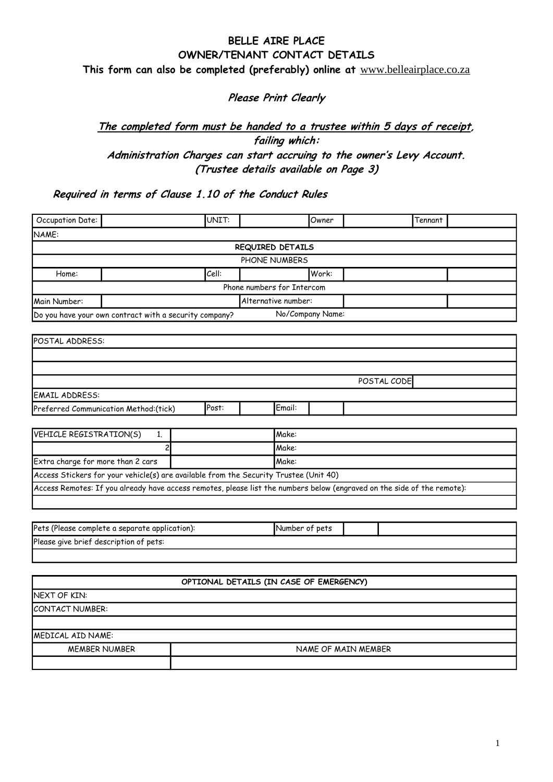# **BELLE AIRE PLACE OWNER/TENANT CONTACT DETAILS This form can also be completed (preferably) online at** [www.belleairplace.co.za](http://www.belleairplace.co.za/)

**Please Print Clearly** 

# **The completed form must be handed to a trustee within 5 days of receipt, failing which: Administration Charges can start accruing to the owner's Levy Account. (Trustee details available on Page 3)**

**Required in terms of Clause 1.10 of the Conduct Rules**

| Occupation Date:                               |                                                                                                                         | UNIT:                                   |                            | Owner            |  | Tennant |  |  |
|------------------------------------------------|-------------------------------------------------------------------------------------------------------------------------|-----------------------------------------|----------------------------|------------------|--|---------|--|--|
| NAME:                                          |                                                                                                                         |                                         |                            |                  |  |         |  |  |
|                                                |                                                                                                                         |                                         | REQUIRED DETAILS           |                  |  |         |  |  |
|                                                |                                                                                                                         |                                         | PHONE NUMBERS              |                  |  |         |  |  |
| Home:                                          |                                                                                                                         | Cell:                                   |                            | Work:            |  |         |  |  |
|                                                |                                                                                                                         |                                         | Phone numbers for Intercom |                  |  |         |  |  |
| Main Number:                                   |                                                                                                                         | Alternative number:                     |                            |                  |  |         |  |  |
|                                                | Do you have your own contract with a security company?                                                                  |                                         |                            | No/Company Name: |  |         |  |  |
|                                                |                                                                                                                         |                                         |                            |                  |  |         |  |  |
| POSTAL ADDRESS:                                |                                                                                                                         |                                         |                            |                  |  |         |  |  |
|                                                |                                                                                                                         |                                         |                            |                  |  |         |  |  |
|                                                |                                                                                                                         |                                         |                            |                  |  |         |  |  |
|                                                | POSTAL CODE                                                                                                             |                                         |                            |                  |  |         |  |  |
| <b>EMAIL ADDRESS:</b>                          |                                                                                                                         |                                         |                            |                  |  |         |  |  |
|                                                | Preferred Communication Method: (tick)                                                                                  | Post:                                   | Email:                     |                  |  |         |  |  |
|                                                |                                                                                                                         |                                         |                            |                  |  |         |  |  |
| VEHICLE REGISTRATION(S)                        | 1.                                                                                                                      |                                         |                            | Make:            |  |         |  |  |
| $\overline{c}$                                 |                                                                                                                         |                                         |                            | Make:            |  |         |  |  |
|                                                | Extra charge for more than 2 cars<br>Make:                                                                              |                                         |                            |                  |  |         |  |  |
|                                                | Access Stickers for your vehicle(s) are available from the Security Trustee (Unit 40)                                   |                                         |                            |                  |  |         |  |  |
|                                                | Access Remotes: If you already have access remotes, please list the numbers below (engraved on the side of the remote): |                                         |                            |                  |  |         |  |  |
|                                                |                                                                                                                         |                                         |                            |                  |  |         |  |  |
|                                                |                                                                                                                         |                                         |                            |                  |  |         |  |  |
| Pets (Please complete a separate application): |                                                                                                                         |                                         |                            | Number of pets   |  |         |  |  |
| Please give brief description of pets:         |                                                                                                                         |                                         |                            |                  |  |         |  |  |
|                                                |                                                                                                                         |                                         |                            |                  |  |         |  |  |
|                                                |                                                                                                                         |                                         |                            |                  |  |         |  |  |
|                                                |                                                                                                                         | OPTIONAL DETAILS (IN CASE OF EMERGENCY) |                            |                  |  |         |  |  |
| NEXT OF KIN:                                   |                                                                                                                         |                                         |                            |                  |  |         |  |  |
| CONTACT NUMBER:                                |                                                                                                                         |                                         |                            |                  |  |         |  |  |
|                                                |                                                                                                                         |                                         |                            |                  |  |         |  |  |
| MEDICAL AID NAME:                              |                                                                                                                         |                                         |                            |                  |  |         |  |  |
|                                                | <b>MEMBER NUMBER</b><br>NAME OF MAIN MEMBER                                                                             |                                         |                            |                  |  |         |  |  |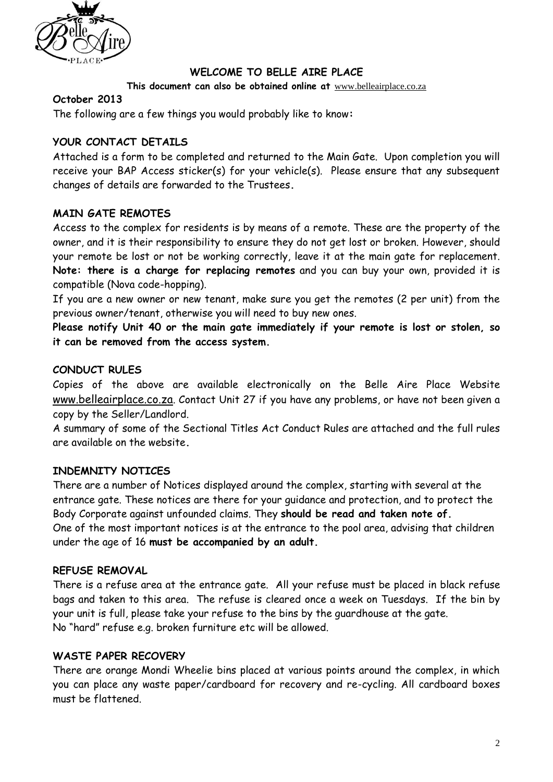

# **WELCOME TO BELLE AIRE PLACE**

#### **This document can also be obtained online at** [www.belleairplace.co.za](http://www.belleairplace.co.za/)

#### **October 2013**

The following are a few things you would probably like to know**:**

### **YOUR CONTACT DETAILS**

Attached is a form to be completed and returned to the Main Gate. Upon completion you will receive your BAP Access sticker(s) for your vehicle(s). Please ensure that any subsequent changes of details are forwarded to the Trustees**.**

### **MAIN GATE REMOTES**

Access to the complex for residents is by means of a remote. These are the property of the owner, and it is their responsibility to ensure they do not get lost or broken. However, should your remote be lost or not be working correctly, leave it at the main gate for replacement. **Note: there is a charge for replacing remotes** and you can buy your own, provided it is compatible (Nova code-hopping).

If you are a new owner or new tenant, make sure you get the remotes (2 per unit) from the previous owner/tenant, otherwise you will need to buy new ones.

**Please notify Unit 40 or the main gate immediately if your remote is lost or stolen, so it can be removed from the access system.**

#### **CONDUCT RULES**

Copies of the above are available electronically on the Belle Aire Place Website [www.belleairplace.co.za](http://www.belleairplace.co.za/). Contact Unit 27 if you have any problems, or have not been given a copy by the Seller/Landlord.

A summary of some of the Sectional Titles Act Conduct Rules are attached and the full rules are available on the website**.**

### **INDEMNITY NOTICES**

There are a number of Notices displayed around the complex, starting with several at the entrance gate. These notices are there for your guidance and protection, and to protect the Body Corporate against unfounded claims. They **should be read and taken note of.** One of the most important notices is at the entrance to the pool area, advising that children under the age of 16 **must be accompanied by an adult.**

### **REFUSE REMOVAL**

There is a refuse area at the entrance gate. All your refuse must be placed in black refuse bags and taken to this area. The refuse is cleared once a week on Tuesdays. If the bin by your unit is full, please take your refuse to the bins by the guardhouse at the gate. No "hard" refuse e.g. broken furniture etc will be allowed.

### **WASTE PAPER RECOVERY**

There are orange Mondi Wheelie bins placed at various points around the complex, in which you can place any waste paper/cardboard for recovery and re-cycling. All cardboard boxes must be flattened.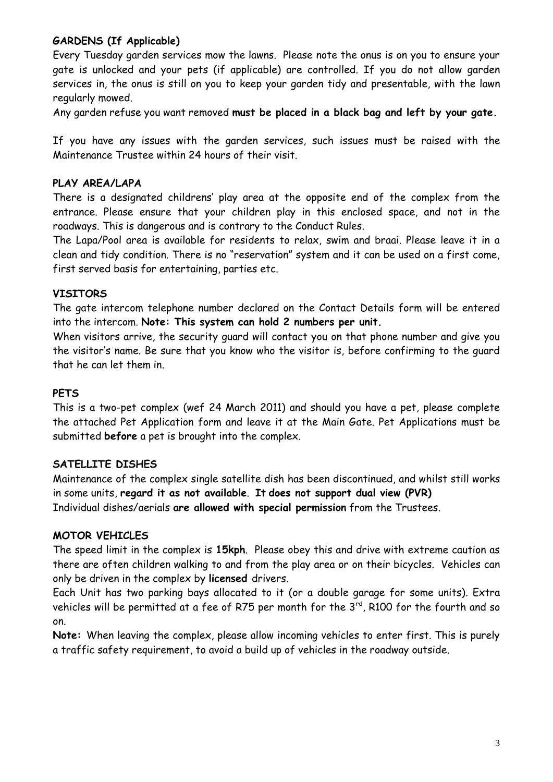# **GARDENS (If Applicable)**

Every Tuesday garden services mow the lawns. Please note the onus is on you to ensure your gate is unlocked and your pets (if applicable) are controlled. If you do not allow garden services in, the onus is still on you to keep your garden tidy and presentable, with the lawn regularly mowed.

Any garden refuse you want removed **must be placed in a black bag and left by your gate.**

If you have any issues with the garden services, such issues must be raised with the Maintenance Trustee within 24 hours of their visit.

### **PLAY AREA/LAPA**

There is a designated childrens' play area at the opposite end of the complex from the entrance. Please ensure that your children play in this enclosed space, and not in the roadways. This is dangerous and is contrary to the Conduct Rules.

The Lapa/Pool area is available for residents to relax, swim and braai. Please leave it in a clean and tidy condition. There is no "reservation" system and it can be used on a first come, first served basis for entertaining, parties etc.

### **VISITORS**

The gate intercom telephone number declared on the Contact Details form will be entered into the intercom. **Note: This system can hold 2 numbers per unit.** 

When visitors arrive, the security guard will contact you on that phone number and give you the visitor's name. Be sure that you know who the visitor is, before confirming to the guard that he can let them in.

### **PETS**

This is a two-pet complex (wef 24 March 2011) and should you have a pet, please complete the attached Pet Application form and leave it at the Main Gate. Pet Applications must be submitted **before** a pet is brought into the complex.

### **SATELLITE DISHES**

Maintenance of the complex single satellite dish has been discontinued, and whilst still works in some units, **regard it as not available**. **It does not support dual view (PVR)** Individual dishes/aerials **are allowed with special permission** from the Trustees.

### **MOTOR VEHICLES**

The speed limit in the complex is **15kph**. Please obey this and drive with extreme caution as there are often children walking to and from the play area or on their bicycles. Vehicles can only be driven in the complex by **licensed** drivers.

Each Unit has two parking bays allocated to it (or a double garage for some units). Extra vehicles will be permitted at a fee of R75 per month for the 3 $^{\text{rd}}$ , R100 for the fourth and so on.

**Note:** When leaving the complex, please allow incoming vehicles to enter first. This is purely a traffic safety requirement, to avoid a build up of vehicles in the roadway outside.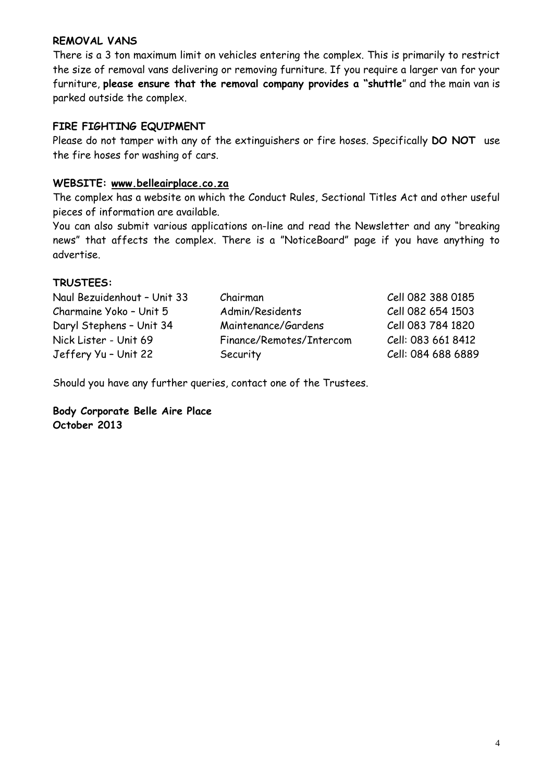### **REMOVAL VANS**

There is a 3 ton maximum limit on vehicles entering the complex. This is primarily to restrict the size of removal vans delivering or removing furniture. If you require a larger van for your furniture, **please ensure that the removal company provides a "shuttle**" and the main van is parked outside the complex.

### **FIRE FIGHTING EQUIPMENT**

Please do not tamper with any of the extinguishers or fire hoses. Specifically **DO NOT** use the fire hoses for washing of cars.

#### **WEBSITE: [www.belleairplace.co.za](http://www.belleairplace.co.za/)**

The complex has a website on which the Conduct Rules, Sectional Titles Act and other useful pieces of information are available.

You can also submit various applications on-line and read the Newsletter and any "breaking news" that affects the complex. There is a "NoticeBoard" page if you have anything to advertise.

#### **TRUSTEES:**

| Naul Bezuidenhout - Unit 33 | Chairman                 | Cell 082 388 0185  |
|-----------------------------|--------------------------|--------------------|
| Charmaine Yoko - Unit 5     | Admin/Residents          | Cell 082 654 1503  |
| Daryl Stephens - Unit 34    | Maintenance/Gardens      | Cell 083 784 1820  |
| Nick Lister - Unit 69       | Finance/Remotes/Intercom | Cell: 083 661 8412 |
| Jeffery Yu - Unit 22        | Security                 | Cell: 084 688 6889 |

Should you have any further queries, contact one of the Trustees.

**Body Corporate Belle Aire Place October 2013**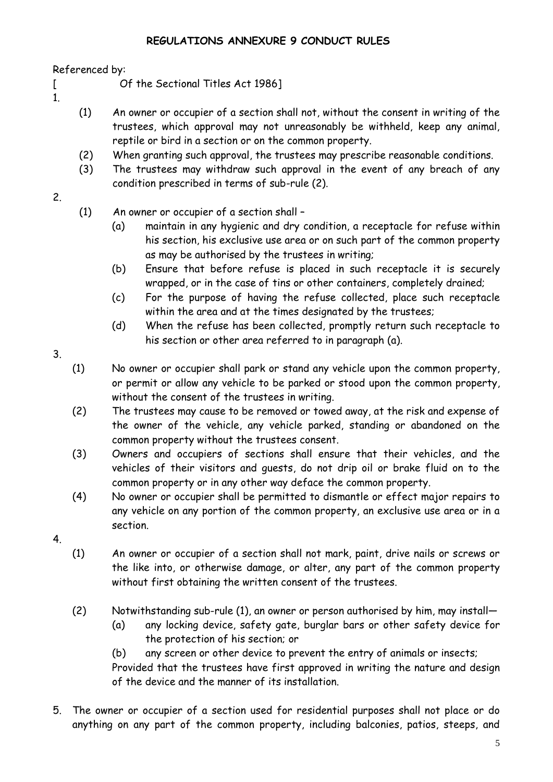# **REGULATIONS ANNEXURE 9 CONDUCT RULES**

Referenced by:

- [ Of the Sectional Titles Act 1986]
- 1.
- (1) An owner or occupier of a section shall not, without the consent in writing of the trustees, which approval may not unreasonably be withheld, keep any animal, reptile or bird in a section or on the common property.
- (2) When granting such approval, the trustees may prescribe reasonable conditions.
- (3) The trustees may withdraw such approval in the event of any breach of any condition prescribed in terms of sub-rule (2).
- 2.

(1) An owner or occupier of a section shall –

- (a) maintain in any hygienic and dry condition, a receptacle for refuse within his section, his exclusive use area or on such part of the common property as may be authorised by the trustees in writing;
- (b) Ensure that before refuse is placed in such receptacle it is securely wrapped, or in the case of tins or other containers, completely drained;
- (c) For the purpose of having the refuse collected, place such receptacle within the area and at the times designated by the trustees;
- (d) When the refuse has been collected, promptly return such receptacle to his section or other area referred to in paragraph (a).
- 3.

(1) No owner or occupier shall park or stand any vehicle upon the common property, or permit or allow any vehicle to be parked or stood upon the common property, without the consent of the trustees in writing.

- (2) The trustees may cause to be removed or towed away, at the risk and expense of the owner of the vehicle, any vehicle parked, standing or abandoned on the common property without the trustees consent.
- (3) Owners and occupiers of sections shall ensure that their vehicles, and the vehicles of their visitors and guests, do not drip oil or brake fluid on to the common property or in any other way deface the common property.
- (4) No owner or occupier shall be permitted to dismantle or effect major repairs to any vehicle on any portion of the common property, an exclusive use area or in a section.
- 4.
- (1) An owner or occupier of a section shall not mark, paint, drive nails or screws or the like into, or otherwise damage, or alter, any part of the common property without first obtaining the written consent of the trustees.
- (2) Notwithstanding sub-rule (1), an owner or person authorised by him, may install—
	- (a) any locking device, safety gate, burglar bars or other safety device for the protection of his section; or
	- (b) any screen or other device to prevent the entry of animals or insects;

Provided that the trustees have first approved in writing the nature and design of the device and the manner of its installation.

5. The owner or occupier of a section used for residential purposes shall not place or do anything on any part of the common property, including balconies, patios, steeps, and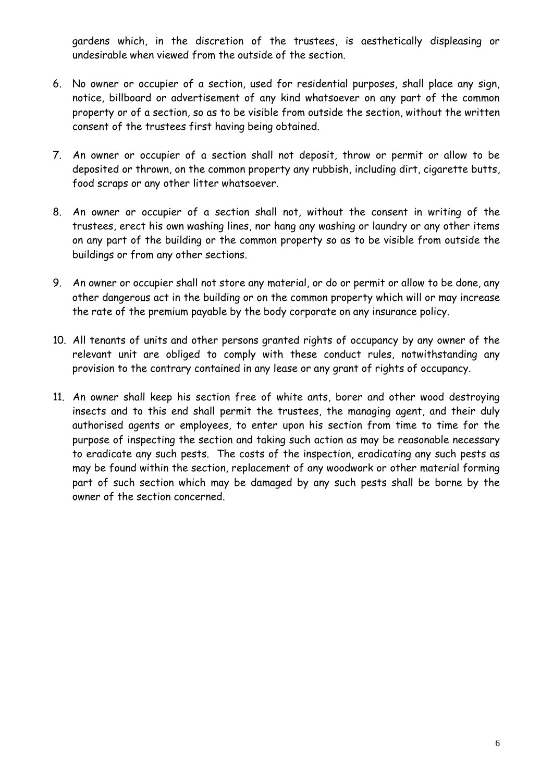gardens which, in the discretion of the trustees, is aesthetically displeasing or undesirable when viewed from the outside of the section.

- 6. No owner or occupier of a section, used for residential purposes, shall place any sign, notice, billboard or advertisement of any kind whatsoever on any part of the common property or of a section, so as to be visible from outside the section, without the written consent of the trustees first having being obtained.
- 7. An owner or occupier of a section shall not deposit, throw or permit or allow to be deposited or thrown, on the common property any rubbish, including dirt, cigarette butts, food scraps or any other litter whatsoever.
- 8. An owner or occupier of a section shall not, without the consent in writing of the trustees, erect his own washing lines, nor hang any washing or laundry or any other items on any part of the building or the common property so as to be visible from outside the buildings or from any other sections.
- 9. An owner or occupier shall not store any material, or do or permit or allow to be done, any other dangerous act in the building or on the common property which will or may increase the rate of the premium payable by the body corporate on any insurance policy.
- 10. All tenants of units and other persons granted rights of occupancy by any owner of the relevant unit are obliged to comply with these conduct rules, notwithstanding any provision to the contrary contained in any lease or any grant of rights of occupancy.
- 11. An owner shall keep his section free of white ants, borer and other wood destroying insects and to this end shall permit the trustees, the managing agent, and their duly authorised agents or employees, to enter upon his section from time to time for the purpose of inspecting the section and taking such action as may be reasonable necessary to eradicate any such pests. The costs of the inspection, eradicating any such pests as may be found within the section, replacement of any woodwork or other material forming part of such section which may be damaged by any such pests shall be borne by the owner of the section concerned.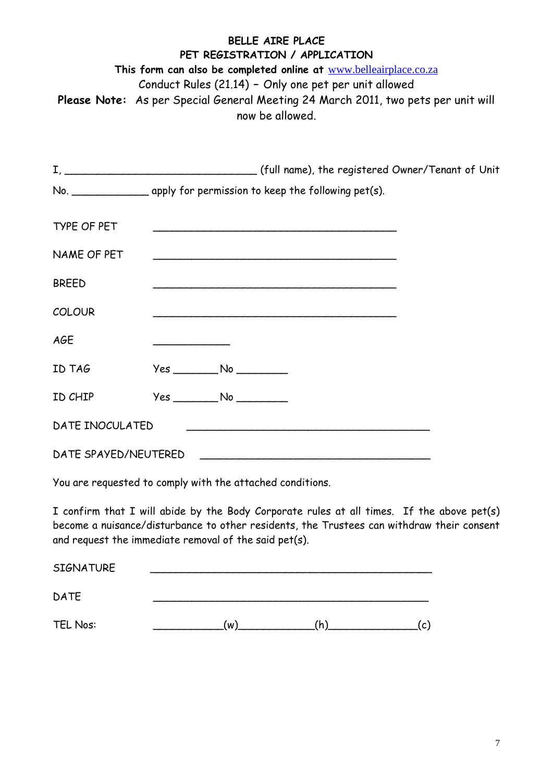# **BELLE AIRE PLACE PET REGISTRATION / APPLICATION This form can also be completed online at** [www.belleairplace.co.za](http://www.belleairplace.co.za/) Conduct Rules (21.14) **–** Only one pet per unit allowed **Please Note:** As per Special General Meeting 24 March 2011, two pets per unit will now be allowed.

|                      | No. _______________________ apply for permission to keep the following pet(s). |
|----------------------|--------------------------------------------------------------------------------|
| <b>TYPE OF PET</b>   | <u> 1989 - Johann Barbara, martxa alemaniar argametra (h. 1989).</u>           |
| NAME OF PET          |                                                                                |
| <b>BREED</b>         |                                                                                |
| <b>COLOUR</b>        |                                                                                |
| AGE                  |                                                                                |
| ID TAG               | $Yes$ No $\rule{1em}{0.15mm}$ No $\rule{1em}{0.15mm}$                          |
| ID CHIP              | $Yes$ No $\rule{1em}{0.15mm}$ No $\rule{1em}{0.15mm}$                          |
| DATE INOCULATED      | <u> 1989 - Johann Barbara, margaret eta idazlearia (h. 1989).</u>              |
| DATE SPAYED/NEUTERED |                                                                                |

You are requested to comply with the attached conditions.

I confirm that I will abide by the Body Corporate rules at all times. If the above pet(s) become a nuisance/disturbance to other residents, the Trustees can withdraw their consent and request the immediate removal of the said pet(s).

| <b>SIGNATURE</b> |    |    |              |
|------------------|----|----|--------------|
| <b>DATE</b>      |    |    |              |
| TEL Nos:         | (w | 'n | $\mathsf{c}$ |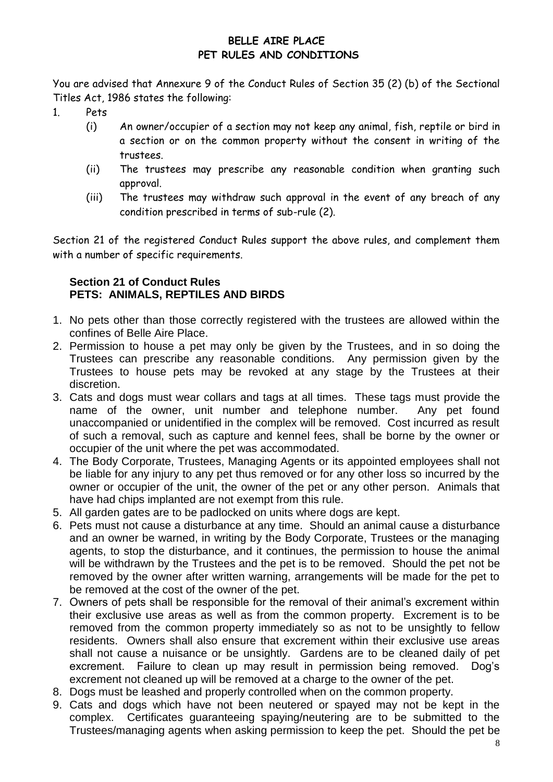# **BELLE AIRE PLACE PET RULES AND CONDITIONS**

You are advised that Annexure 9 of the Conduct Rules of Section 35 (2) (b) of the Sectional Titles Act, 1986 states the following:

- 1. Pets
	- (i) An owner/occupier of a section may not keep any animal, fish, reptile or bird in a section or on the common property without the consent in writing of the trustees.
	- (ii) The trustees may prescribe any reasonable condition when granting such approval.
	- (iii) The trustees may withdraw such approval in the event of any breach of any condition prescribed in terms of sub-rule (2).

Section 21 of the registered Conduct Rules support the above rules, and complement them with a number of specific requirements.

# **Section 21 of Conduct Rules PETS: ANIMALS, REPTILES AND BIRDS**

- 1. No pets other than those correctly registered with the trustees are allowed within the confines of Belle Aire Place.
- 2. Permission to house a pet may only be given by the Trustees, and in so doing the Trustees can prescribe any reasonable conditions. Any permission given by the Trustees to house pets may be revoked at any stage by the Trustees at their discretion.
- 3. Cats and dogs must wear collars and tags at all times. These tags must provide the name of the owner, unit number and telephone number. Any pet found unaccompanied or unidentified in the complex will be removed. Cost incurred as result of such a removal, such as capture and kennel fees, shall be borne by the owner or occupier of the unit where the pet was accommodated.
- 4. The Body Corporate, Trustees, Managing Agents or its appointed employees shall not be liable for any injury to any pet thus removed or for any other loss so incurred by the owner or occupier of the unit, the owner of the pet or any other person. Animals that have had chips implanted are not exempt from this rule.
- 5. All garden gates are to be padlocked on units where dogs are kept.
- 6. Pets must not cause a disturbance at any time. Should an animal cause a disturbance and an owner be warned, in writing by the Body Corporate, Trustees or the managing agents, to stop the disturbance, and it continues, the permission to house the animal will be withdrawn by the Trustees and the pet is to be removed. Should the pet not be removed by the owner after written warning, arrangements will be made for the pet to be removed at the cost of the owner of the pet.
- 7. Owners of pets shall be responsible for the removal of their animal's excrement within their exclusive use areas as well as from the common property. Excrement is to be removed from the common property immediately so as not to be unsightly to fellow residents. Owners shall also ensure that excrement within their exclusive use areas shall not cause a nuisance or be unsightly. Gardens are to be cleaned daily of pet excrement. Failure to clean up may result in permission being removed. Dog's excrement not cleaned up will be removed at a charge to the owner of the pet.
- 8. Dogs must be leashed and properly controlled when on the common property.
- 9. Cats and dogs which have not been neutered or spayed may not be kept in the complex. Certificates guaranteeing spaying/neutering are to be submitted to the Trustees/managing agents when asking permission to keep the pet. Should the pet be